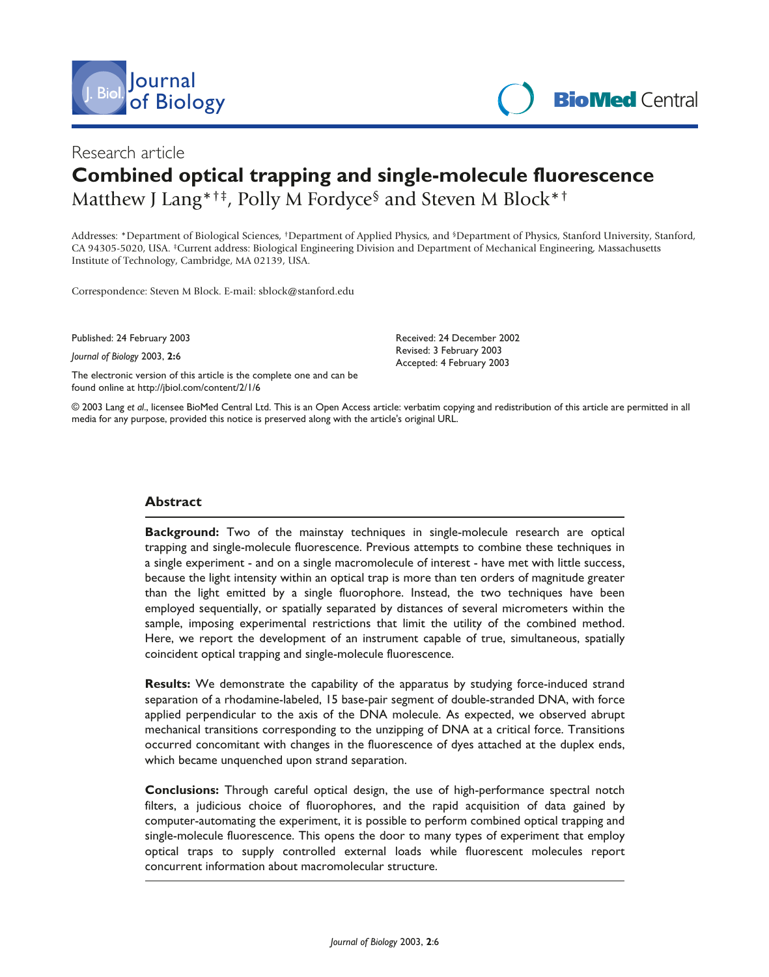

**Sournal**<br> **BioMed** Central **Contral Services** 

# Research article **Combined optical trapping and single-molecule fluorescence** Matthew J Lang<sup>\*†‡</sup>, Polly M Fordyce<sup>§</sup> and Steven M Block<sup>\*†</sup>

Addresses: \*Department of Biological Sciences, †Department of Applied Physics, and §Department of Physics, Stanford University, Stanford, CA 94305-5020, USA. ‡Current address: Biological Engineering Division and Department of Mechanical Engineering, Massachusetts Institute of Technology, Cambridge, MA 02139, USA.

Correspondence: Steven M Block. E-mail: sblock@stanford.edu

Published: 24 February 2003

*Journal of Biology* 2003, **2:**6

The electronic version of this article is the complete one and can be found online at http://jbiol.com/content/2/1/6

Received: 24 December 2002 Revised: 3 February 2003 Accepted: 4 February 2003

© 2003 Lang *et al*., licensee BioMed Central Ltd. This is an Open Access article: verbatim copying and redistribution of this article are permitted in all media for any purpose, provided this notice is preserved along with the article's original URL.

## **Abstract**

**Background:** Two of the mainstay techniques in single-molecule research are optical trapping and single-molecule fluorescence. Previous attempts to combine these techniques in a single experiment - and on a single macromolecule of interest - have met with little success, because the light intensity within an optical trap is more than ten orders of magnitude greater than the light emitted by a single fluorophore. Instead, the two techniques have been employed sequentially, or spatially separated by distances of several micrometers within the sample, imposing experimental restrictions that limit the utility of the combined method. Here, we report the development of an instrument capable of true, simultaneous, spatially coincident optical trapping and single-molecule fluorescence.

**Results:** We demonstrate the capability of the apparatus by studying force-induced strand separation of a rhodamine-labeled, 15 base-pair segment of double-stranded DNA, with force applied perpendicular to the axis of the DNA molecule. As expected, we observed abrupt mechanical transitions corresponding to the unzipping of DNA at a critical force. Transitions occurred concomitant with changes in the fluorescence of dyes attached at the duplex ends, which became unquenched upon strand separation.

**Conclusions:** Through careful optical design, the use of high-performance spectral notch filters, a judicious choice of fluorophores, and the rapid acquisition of data gained by computer-automating the experiment, it is possible to perform combined optical trapping and single-molecule fluorescence. This opens the door to many types of experiment that employ optical traps to supply controlled external loads while fluorescent molecules report concurrent information about macromolecular structure.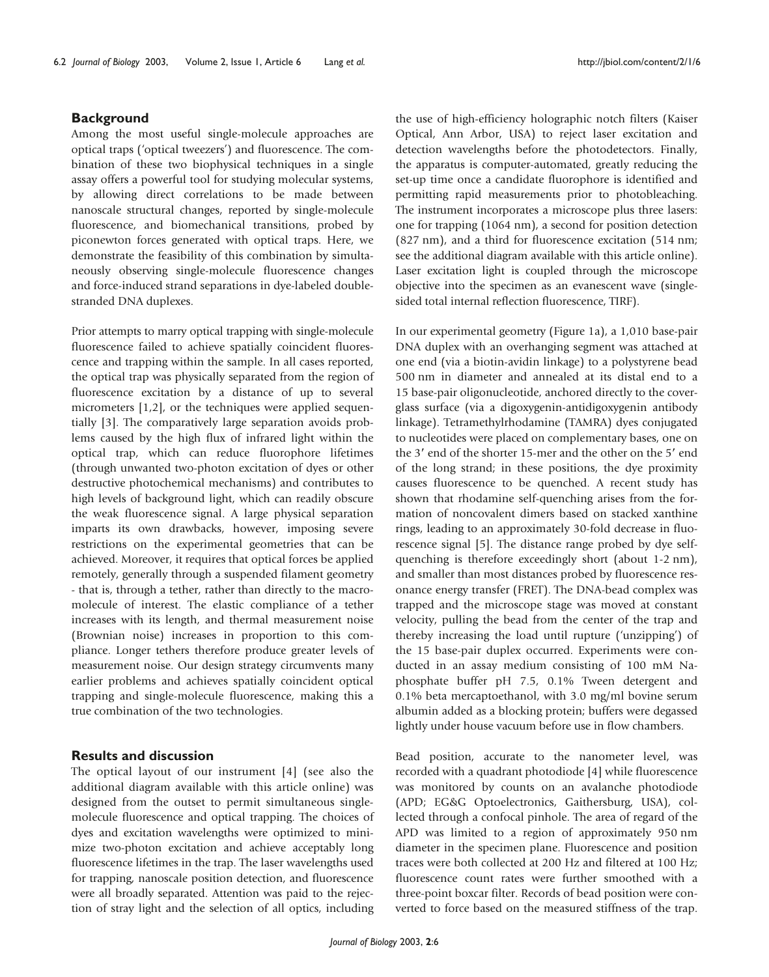### **Background**

Among the most useful single-molecule approaches are optical traps ('optical tweezers') and fluorescence. The combination of these two biophysical techniques in a single assay offers a powerful tool for studying molecular systems, by allowing direct correlations to be made between nanoscale structural changes, reported by single-molecule fluorescence, and biomechanical transitions, probed by piconewton forces generated with optical traps. Here, we demonstrate the feasibility of this combination by simultaneously observing single-molecule fluorescence changes and force-induced strand separations in dye-labeled doublestranded DNA duplexes.

Prior attempts to marry optical trapping with single-molecule fluorescence failed to achieve spatially coincident fluorescence and trapping within the sample. In all cases reported, the optical trap was physically separated from the region of fluorescence excitation by a distance of up to several micrometers [1,2], or the techniques were applied sequentially [3]. The comparatively large separation avoids problems caused by the high flux of infrared light within the optical trap, which can reduce fluorophore lifetimes (through unwanted two-photon excitation of dyes or other destructive photochemical mechanisms) and contributes to high levels of background light, which can readily obscure the weak fluorescence signal. A large physical separation imparts its own drawbacks, however, imposing severe restrictions on the experimental geometries that can be achieved. Moreover, it requires that optical forces be applied remotely, generally through a suspended filament geometry - that is, through a tether, rather than directly to the macromolecule of interest. The elastic compliance of a tether increases with its length, and thermal measurement noise (Brownian noise) increases in proportion to this compliance. Longer tethers therefore produce greater levels of measurement noise. Our design strategy circumvents many earlier problems and achieves spatially coincident optical trapping and single-molecule fluorescence, making this a true combination of the two technologies.

## **Results and discussion**

The optical layout of our instrument [4] (see also the additional diagram available with this article online) was designed from the outset to permit simultaneous singlemolecule fluorescence and optical trapping. The choices of dyes and excitation wavelengths were optimized to minimize two-photon excitation and achieve acceptably long fluorescence lifetimes in the trap. The laser wavelengths used for trapping, nanoscale position detection, and fluorescence were all broadly separated. Attention was paid to the rejection of stray light and the selection of all optics, including the use of high-efficiency holographic notch filters (Kaiser Optical, Ann Arbor, USA) to reject laser excitation and detection wavelengths before the photodetectors. Finally, the apparatus is computer-automated, greatly reducing the set-up time once a candidate fluorophore is identified and permitting rapid measurements prior to photobleaching. The instrument incorporates a microscope plus three lasers: one for trapping (1064 nm), a second for position detection (827 nm), and a third for fluorescence excitation (514 nm; see the additional diagram available with this article online). Laser excitation light is coupled through the microscope objective into the specimen as an evanescent wave (singlesided total internal reflection fluorescence, TIRF).

In our experimental geometry (Figure 1a), a 1,010 base-pair DNA duplex with an overhanging segment was attached at one end (via a biotin-avidin linkage) to a polystyrene bead 500 nm in diameter and annealed at its distal end to a 15 base-pair oligonucleotide, anchored directly to the coverglass surface (via a digoxygenin-antidigoxygenin antibody linkage). Tetramethylrhodamine (TAMRA) dyes conjugated to nucleotides were placed on complementary bases, one on the 3' end of the shorter 15-mer and the other on the 5' end of the long strand; in these positions, the dye proximity causes fluorescence to be quenched. A recent study has shown that rhodamine self-quenching arises from the formation of noncovalent dimers based on stacked xanthine rings, leading to an approximately 30-fold decrease in fluorescence signal [5]. The distance range probed by dye selfquenching is therefore exceedingly short (about 1-2 nm), and smaller than most distances probed by fluorescence resonance energy transfer (FRET). The DNA-bead complex was trapped and the microscope stage was moved at constant velocity, pulling the bead from the center of the trap and thereby increasing the load until rupture ('unzipping') of the 15 base-pair duplex occurred. Experiments were conducted in an assay medium consisting of 100 mM Naphosphate buffer pH 7.5, 0.1% Tween detergent and 0.1% beta mercaptoethanol, with 3.0 mg/ml bovine serum albumin added as a blocking protein; buffers were degassed lightly under house vacuum before use in flow chambers.

Bead position, accurate to the nanometer level, was recorded with a quadrant photodiode [4] while fluorescence was monitored by counts on an avalanche photodiode (APD; EG&G Optoelectronics, Gaithersburg, USA), collected through a confocal pinhole. The area of regard of the APD was limited to a region of approximately 950 nm diameter in the specimen plane. Fluorescence and position traces were both collected at 200 Hz and filtered at 100 Hz; fluorescence count rates were further smoothed with a three-point boxcar filter. Records of bead position were converted to force based on the measured stiffness of the trap.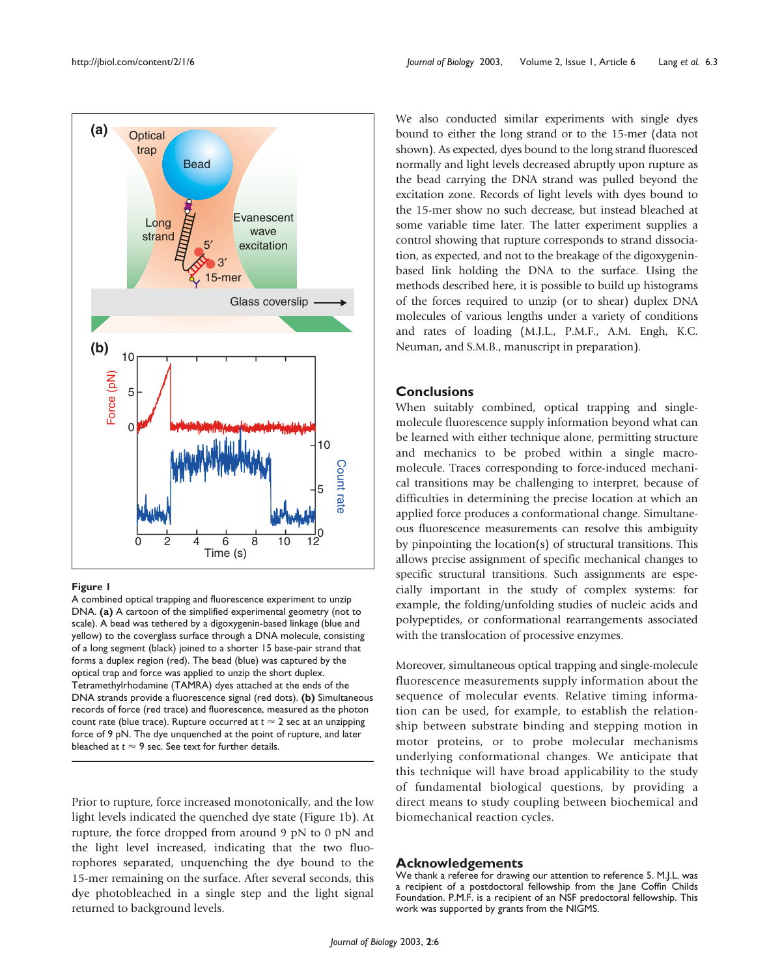

#### **Figure 1**

A combined optical trapping and fluorescence experiment to unzip DNA. **(a)** A cartoon of the simplified experimental geometry (not to scale). A bead was tethered by a digoxygenin-based linkage (blue and yellow) to the coverglass surface through a DNA molecule, consisting of a long segment (black) joined to a shorter 15 base-pair strand that forms a duplex region (red). The bead (blue) was captured by the optical trap and force was applied to unzip the short duplex. Tetramethylrhodamine (TAMRA) dyes attached at the ends of the DNA strands provide a fluorescence signal (red dots). **(b)** Simultaneous records of force (red trace) and fluorescence, measured as the photon count rate (blue trace). Rupture occurred at  $t \approx 2$  sec at an unzipping force of 9 pN. The dye unquenched at the point of rupture, and later bleached at  $t \approx 9$  sec. See text for further details.

Prior to rupture, force increased monotonically, and the low light levels indicated the quenched dye state (Figure 1b). At rupture, the force dropped from around 9 pN to 0 pN and the light level increased, indicating that the two fluorophores separated, unquenching the dye bound to the 15-mer remaining on the surface. After several seconds, this dye photobleached in a single step and the light signal returned to background levels.

We also conducted similar experiments with single dyes bound to either the long strand or to the 15-mer (data not shown). As expected, dyes bound to the long strand fluoresced normally and light levels decreased abruptly upon rupture as the bead carrying the DNA strand was pulled beyond the excitation zone. Records of light levels with dyes bound to the 15-mer show no such decrease, but instead bleached at some variable time later. The latter experiment supplies a control showing that rupture corresponds to strand dissociation, as expected, and not to the breakage of the digoxygeninbased link holding the DNA to the surface. Using the methods described here, it is possible to build up histograms of the forces required to unzip (or to shear) duplex DNA molecules of various lengths under a variety of conditions and rates of loading (M.J.L., P.M.F., A.M. Engh, K.C. Neuman, and S.M.B., manuscript in preparation).

## **Conclusions**

When suitably combined, optical trapping and singlemolecule fluorescence supply information beyond what can be learned with either technique alone, permitting structure and mechanics to be probed within a single macromolecule. Traces corresponding to force-induced mechanical transitions may be challenging to interpret, because of difficulties in determining the precise location at which an applied force produces a conformational change. Simultaneous fluorescence measurements can resolve this ambiguity by pinpointing the location(s) of structural transitions. This allows precise assignment of specific mechanical changes to specific structural transitions. Such assignments are especially important in the study of complex systems: for example, the folding/unfolding studies of nucleic acids and polypeptides, or conformational rearrangements associated with the translocation of processive enzymes.

Moreover, simultaneous optical trapping and single-molecule fluorescence measurements supply information about the sequence of molecular events. Relative timing information can be used, for example, to establish the relationship between substrate binding and stepping motion in motor proteins, or to probe molecular mechanisms underlying conformational changes. We anticipate that this technique will have broad applicability to the study of fundamental biological questions, by providing a direct means to study coupling between biochemical and biomechanical reaction cycles.

#### **Acknowledgements**

We thank a referee for drawing our attention to reference 5. M.J.L. was a recipient of a postdoctoral fellowship from the Jane Coffin Childs Foundation. P.M.F. is a recipient of an NSF predoctoral fellowship. This work was supported by grants from the NIGMS.